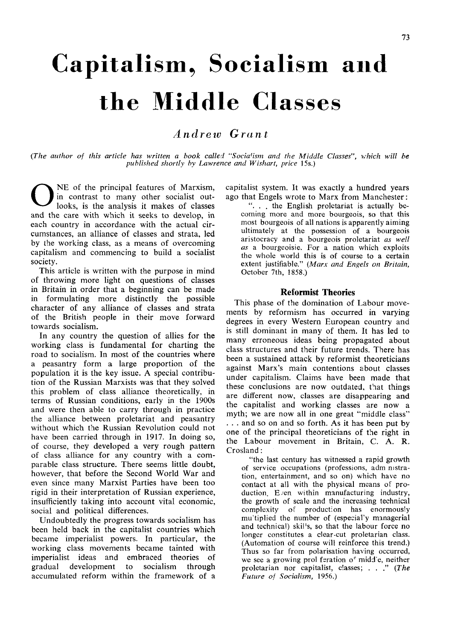# Capitalism^ Socialism and the Middle Classes

# *Andrew Grant*

*{The author of this article has written a book called "Socia'ism and the Middle Classes" which will be published shortly by Lawrence and Wishart, price* 15s.)

O NE of the principal features of Marxism, in contrast to many other socialist outlooks, is the analysis it makes of classes and the care with which it seeks to develop, in each country in accordance with the actual circumstances, an alliance of classes and strata, led by the working class, as a means of overcoming capitalism and commencing to build a socialist society.

This article is written with the purpose in mind of throwing more light on questions of classes in Britain in order that a beginning can be made in formulating more distinctly the possible character of any alliance of classes and strata of the British people in their move forward towards socialism.

In any country the question of allies for the working class is fundamental for charting the road to socialism. In most of the countries where a peasantry form a large proportion of the population it is the key issue. A special contribution of the Russian Marxists was that they solved this problem of class alliance theoretically, in terms of Russian conditions, early in the 1900s and were then able to carry through in practice the alliance between proletariat and peasantry without which the Russian Revolution could not have been carried through in 1917. In doing so, of course, they developed a very rough pattern of class alliance for any country with a comparable class structure. There seems little doubt, however, that before the Second World War and even since many Marxist Parties have been too rigid in their interpretation of Russian experience, insufficiently taking into account vital economic, social and political differences.

Undoubtedly the progress towards socialism has been held back in the capitalist countries which became imperialist powers. In particular, the working class movements became tainted with imperialist ideas and embraced theories of gradual development to socialism through accumulated reform within the framework of a

capitalist system. It was exactly a hundred years ago that Engels wrote to Marx from Manchester:

". . . the English proletariat is actually becoming more and more bourgeois, so that this most bourgeois of all nations is apparently aiming ultimately at the possession of a bourgeois aristocracy and a bourgeois proletariat *as well as* a bourgeoisie. For a nation which exploits the whole world this is of course to a certain extent justifiable." *(Marx and Engels on Britain,*  October 7th, 1858.)

## **Reformist Theories**

This phase of the domination of Labour movements by reformism has occurred in varying degrees in every Western European country and is still dominant in many of them. It has led to many erroneous ideas being propagated about class structures and their future trends. There has been a sustained attack by reformist theoreticians against Marx's main contentions about classes under capitalism. Claims have been made that these conclusions are now outdated, that things are different now, classes are disappearing and the capitalist and working classes are now a myth; we are now all in one great "middle class" . . . and so on and so forth. As it has been put by one of the principal theoreticians of the right in the Labour movement in Britain, C. A. R. Crosland:

"the last century has witnessed a rapid growth of service occupations (professions, adm nistration, entertainment, and so on) which have no contact at all with the physical means of production. E/en within manufacturing industry, the growth of scale and the increasing technical complexity of production has enormously mutiplied the number of (especial'y managerial and technical) skil's, so that the labour force no longer constitutes a clear-cut proletarian class. (Automation of course will reinforce this trend.) Thus so far from polarisation having occurred, we see a growing prol feration of midd'e, neither proletarian nor capitalist, classes; . . ." *{The Future of Socialism,* 1956.)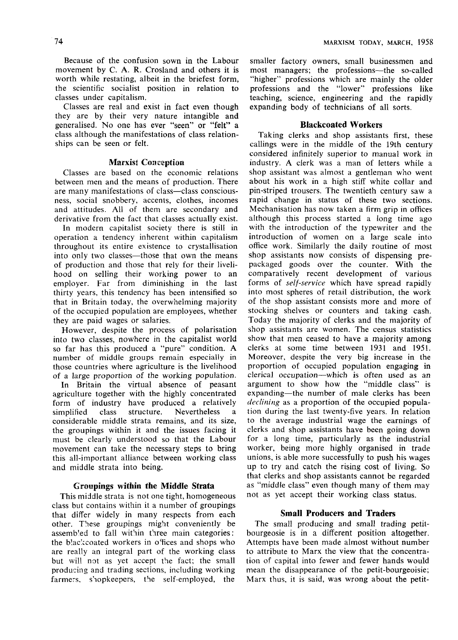Because of the confusion sown in the Labour movement by C. A. R. Crosland and others it is worth while restating, albeit in the briefest form, the scientific socialist position in relation to classes under capitalism.

Classes are real and exist in fact even though they are by their very nature intangible and generalised. No one has ever "seen" or "felt" a class although the manifestations of class relationships can be seen or felt.

#### **Marxist Conception**

Classes are based on the economic relations between men and the means of production. There are many manifestations of class—class consciousness, social snobbery, accents, clothes, incomes and attitudes. All of them are secondary and derivative from the fact that classes actually exist.

In modern capitalist society there is still in operation a tendency inherent within capitalism throughout its entire existence to crystallisation into only two classes—those that own the means of production and those that rely for their livelihood on selling their working power to an employer. Far from diminishing in the last thirty years, this tendency has been intensified so that in Britain today, the overwhelming majority of the occupied population are employees, whether they are paid wages or salaries.

However, despite the process of polarisation into two classes, nowhere in the capitalist world so far has this produced a "pure" condition. A number of middle groups remain especially in those countries where agriculture is the livelihood of a large proportion of the working population.

In Britain the virtual absence of peasant agriculture together with the highly concentrated form of industry have produced a relatively simplified class structure. Nevertheless a considerable middle strata remains, and its size, the groupings within it and the issues facing it must be clearly understood so that the Labour movement can take the necessary steps to bring this all-important alliance between working class and middle strata into being.

#### **Groupings within the Middle Strata**

This middle strata is not one tight, homogeneous class but contains within it a number of groupings that differ widely in many respects from each other. These groupings might conveniently be assemb'ed to fall within three main categories: the blackcoated workers in offices and shops who are really an integral part of the working class but will not as yet accept the fact; the small producing and trading sections, including working farmers, shopkeepers, the self-employed, the

smaller factory owners, small businessmen and most managers; the professions—the so-called "higher" professions which are mainly the older professions and the "lower" professions like teaching, science, engineering and the rapidly expanding body of technicians of all sorts.

# **Blackcoated Workers**

Taking clerks and shop assistants first, these callings were in the middle of the 19th century considered infinitely superior to manual work in industry. A clerk was a man of letters while a shop assistant was almost a gentleman who went about his work in a high stiff white collar and pin-striped trousers. The twentieth century saw a rapid change in status of these two sections. Mechanisation has now taken a firm grip in offices although this process started a long time ago with the introduction of the typewriter and the introduction of women on a large scale into office work. Similarly the daily routine of most shop assistants now consists of dispensing prepackaged goods over the counter. With the comparatively recent development of various forms of *self-service* which have spread rapidly into most spheres of retail distribution, the work of the shop assistant consists more and more of stocking shelves or counters and taking cash. Today the majority of clerks and the majority of shop assistants are women. The census statistics show that men ceased to have a majority among clerks at some time between 1931 and 1951. Moreover, despite the very big increase in the proportion of occupied population engaging in clerical occupation—which is often used as an argument to show how the "middle class" is expanding—the number of male clerks has been *declining* as a proportion of the occupied population during the last twenty-five years. In relation to the average industrial wage the earnings of clerks and shop assistants have been going down for a long time, particularly as the industrial worker, being more highly organised in trade unions, is able more successfully to push his wages unions, is able more successiuny to push ins wages that can call the rising cost of fiving, so that clerks and shop assistants cannot be regarded as "middle class" even though many of them may not as yet accept their working class status.

# **Small Producers and Traders**

The small producing and small trading petitbourgeosie is in a different position altogether. Attempts have been made almost without number to attribute to Marx the view that the concentration of capital into fewer and fewer hands would mean the disappearance of the petit-bourgeoisie; Marx thus, it is said, was wrong about the petit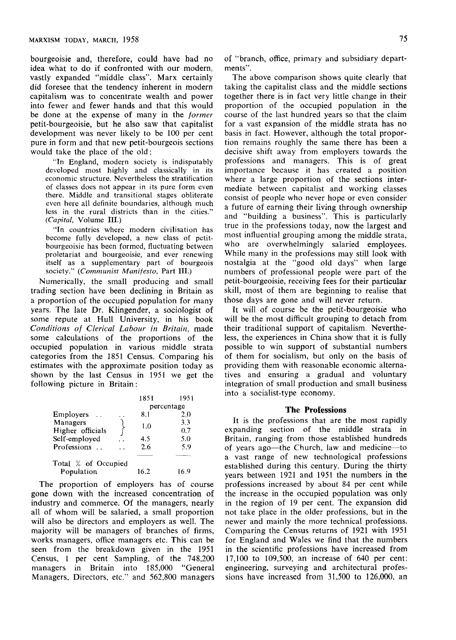bourgeoisie and, therefore, could have had no idea what to do if confronted with our modern, vastly expanded "middle class". Marx certainly did foresee that the tendency inherent in modern capitalism was to concentrate wealth and power into fewer and fewer hands and that this would be done at the expense of many in the *former*  petit-bourgeoisie, but he also saw that capitalist development was never likely to be 100 per cent pure in form and that new petit-bourgeois sections would take the place of the old:

"In England, modern society is indisputably developed most highly and classically in its economic structure. Nevertheless the stratification of classes does not appear in its pure form even there. Middle and transitional stages obliterate even here all definite boundaries, although much less in the rural districts than in the cities." *(Capital,* Volume **III.)** 

•'In countries where modern civilisation has become fully developed, a new class of petitbourgeoisie has been formed, fluctuating between proletariat and bourgeoisie, and ever renewing itself as a supplementary part of bourgeois society." *{Communist Manifesto,* Part **III.)** 

Numerically, the small producing and small trading section have been declining in Britain as a proportion of the occupied population for many years. The late Dr. Klingender, a sociologist of some repute at Hull University, in his book *Conditions of Clerical Labour in Britain,* made some calculations of the proportions of the occupied population in various middle strata categories from the 1851 Census. Comparing his estimates with the approximate position today as shown by the last Census in 1951 we get the following picture in Britain:

|                     | 1851       | 1951 |
|---------------------|------------|------|
|                     | percentage |      |
| Employers           | 8.1        | 20   |
| Managers            | 1.0        | 3.3  |
| Higher officials    |            | 0.7  |
| Self-employed       | 4.5        | 5.0  |
| Professions         | 2.6        | 5.9  |
|                     |            |      |
| Total % of Occupied |            |      |
| Population          | 16 2       | 16 9 |

The proportion of employers has of course gone down with the increased concentration of industry and commerce. Of the managers, nearly all of whom will be salaried, a small proportion will also be directors and employers as well. The majority will be managers of branches of firms, works managers, office managers etc. This can be seen from the breakdown given in the 1951 Census, 1 per cent Sampling, of the 748,200 managers in Britain into 185,000 "General Managers, Directors, etc." and 562,800 managers of "branch, office, primary and subsidiary departments".

The above comparison shows quite clearly that taking the capitalist class and the middle sections together there is in fact very little change in their proportion of the occupied population in the course of the last hundred years so that the claim for a vast expansion of the middle strata has no basis in fact. However, although the total proportion remains roughly the same there has been a decisive shift away from employers towards the professions and managers. This is of great importance because it has created a position where a large proportion of the sections intermediate between capitalist and working classes consist of people who never hope or even consider a future of earning their living through ownership and "building a business". This is particularly true in the professions today, now the largest and most influential grouping among the middle strata, who are overwhelmingly salaried employees. While many in the professions may still look with nostalgia at the "good old days" when large numbers of professional people were part of the petit-bourgeoisie, receiving fees for their particular skill, most of them are beginning to realise that those days are gone and will never return.

It will of course be the petit-bourgeoisie who will be the most difficult grouping to detach from their traditional support of capitalism. Nevertheless, the experiences in China show that it is fully possible to win support of substantial numbers of them for socialism, but only on the basis of providing them with reasonable economic alternatives and ensuring a gradual and voluntary integration of small production and small business into a socialist-type economy.

#### **The Professions**

It is the professions that are the most rapidly expanding section of the middle strata in Britain, ranging from those established hundreds of years ago—the Church, law and medicine—to a vast range of new technological professions established during this century. During the thirty years between 1921 and 1951 the numbers in the professions increased by about 84 per cent while the increase in the occupied population was only in the region of 19 per cent. The expansion did not take place in the older professions, but in the newer and mainly the more technical professions. Comparing the Census returns of 1921 with 1951 for England and Wales we find that the numbers in the scientific professions have increased from 17,100 to 109,500, an increase of 640 per cent; engineering, surveying and architectural professions have increased from 31,500 to 126,000, an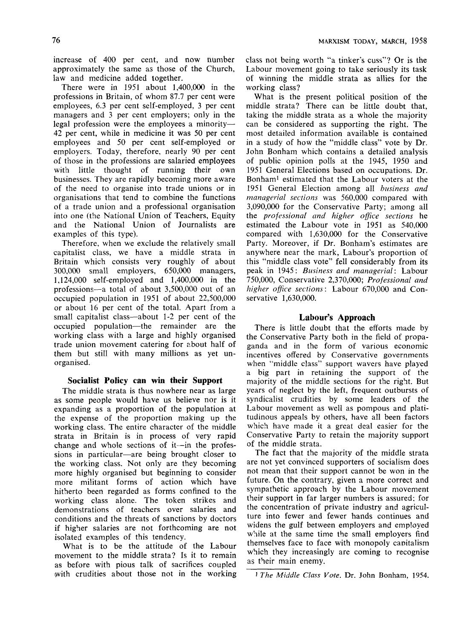increase of 400 per cent, and now number approximately the same as those of the Church, law and medicine added together.

There were in 1951 about 1,400,000 in the professions in Britain, of whom 87.7 per cent were employees, 6.3 per cent self-employed, 3 per cent managers and 3 per cent employers; only in the legal profession were the employees a minority— 42 per cent, while in medicine it was 50 per cent employees and 50 per cent self-employed or employers. Today, therefore, nearly 90 per cent of those in the professions are salaried employees with little thought of running their own businesses. They are rapidly becoming more aware of the need to organise into trade unions or in organisations that tend to combine the functions of a trade union and a professional organisation into one (the National Union of Teachers, Equity and the National Union of Journalists are examples of this type).

Therefore, when we exclude the relatively small capitalist class, we have a middle strata in Britain which consists very roughly of about 300,000 small employers, 650,000 managers, 1,124,000 self-employed and 1,400,000 in the professions—a total of about 3,500,000 out of an occupied population in 1951 of about 22,500,000 or about 16 per cent of the total. Apart from a small capitalist class—about 1-2 per cent of the occupied population—the remainder are the working class with a large and highly organised trade union movement catering for about half of them but still with many millions as yet unorganised.

#### **Socialist Policy can win their Support**

The middle strata is thus nowhere near as large as some people would have us believe nor is it expanding as a proportion of the population at the expense of the proportion making up the working class. The entire character of the middle strata in Britain is in process of very rapid change and whole sections of it—in the professions in particular—are being brought closer to the working class. Not only are they becoming more highly organised but beginning to consider more militant forms of action which have hitherto been regarded as forms confined to the working class alone. The token strikes and demonstrations of teachers over salaries and conditions and the threats of sanctions by doctors if higher salaries are not forthcoming are not isolated examples of this tendency.

What is to be the attitude of the Labour movement to the middle strata? Is it to remain as before with pious talk of sacrifices coupled with crudities about those not in the working class not being worth "a tinker's cuss"? Or is the Labour movement going to take seriously its task of winning the middle strata as allies for the working class?

What is the present political position of the middle strata? There can be little doubt that, taking the middle strata as a whole the majority can be considered as supporting the right. The most detailed information available is contained in a study of how the "middle class" vote by Dr. John Bonham which contains a detailed analysis of public opinion polls at the 1945, 1950 and 1951 General Elections based on occupations. Dr. Bonhami estimated that the Labour voters at the 1951 General Election among all *business and managerial sections* was 560,000 compared with 3,090,000 for the Conservative Party; among all the *professional and higher office sections* he estimated the Labour vote in 1951 as 540,000 compared with 1,630,000 for the Conservative Party. Moreover, if Dr. Bonham's estimates are anywhere near the mark, Labour's proportion of this "middle class vote" fell considerably from its peak in 1945: *Business and managerial:* Labour 750,000, Conservative 2,370,000; *Professional and higher office sections:* Labour 670,000 and Conservative 1,630,000.

## **Labour's Approach**

There is little doubt that the efforts made by the Conservative Party both in the field of propaganda and in the form of various economic incentives offered by Conservative governments when "middle class" support wavers have played a big part in retaining the support of the majority of the middle sections for the right. But years of neglect by the left, frequent outbursts of syndicalist crudities by some leaders of the Labour movement as well as pompous and platitudinous appeals by others, have all been factors which have made it a great deal easier for the Conservative Party to retain the majority support of the middle strata.

The fact that the majority of the middle strata are not yet convinced supporters of socialism does not mean that their support cannot be won in the future. On the contrary, given a more correct and sympathetic approach by the Labour movement their support in far larger numbers is assured: for the concentration of private industry and agriculture into fewer and fewer hands continues and widens the gulf between employers and employed while at the same time the small employers find themselves face to face with monopoly canitalism which they increasingly are coming to recognise as their main enemy.

1 *The Middle Class Vote.* Dr. John Bonham, 1954.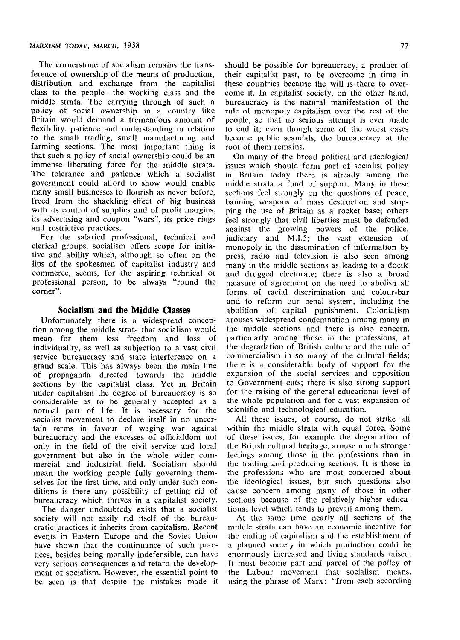The cornerstone of socialism remains the transference of ownership of the means of production, distribution and exchange from the capitalist class to the people—the working class and the middle strata. The carrying through of such a policy of social ownership in a country like Britain would demand a tremendous amount of flexibility, patience and understanding in relation to the small trading, small manufacturing and farming sections. The most important thing is that such a policy of social ownership could be an immense liberating force for the middle strata. The tolerance and patience which a socialist government could afford to show would enable many small businesses to flourish as never before, freed from the shackling effect of big business with its control of supplies and of profit margins, its advertising and coupon "wars", its price rings and restrictive practices.

For the salaried professional, technical and clerical groups, socialism offers scope for initiative and ability which, although so often on the lips of the spokesmen of capitalist industry and commerce, seems, for the aspiring technical or professional person, to be always "round the corner".

### **Socialism and the Middle Classes**

Unfortunately there is a widespread conception among the middle strata that socialism would mean for them less freedom and loss of individuality, as well as subjection to a vast civil service bureaucracy and state interference on a grand scale. This has always been the main line of propaganda directed towards the middle sections by the capitalist class. Yet in Britain sections by the capitalist class. Let  $\mathbf{u}$  be but quite capitalism the degree of bureaucracy is so considerable as to be generally accepted as a normal part of life. It is necessary for the socialist movement to declare itself in no uncertain terms in favour of waging war against bureaucracy and the excesses of officialdom not only in the field of the civil service and local government but also in the whole wider commercial and industrial field. Socialism should mean the working people fully governing themselves for the first time, and only under such conditions is there any possibility of getting rid of bureaucracy which thrives in a capitalist society.

The danger undoubtedy exists that a socialist society will not easily rid itself of the bureaucratic practices it inherits from capitalism. Recent events in Eastern Europe and the Soviet Union have shown that the continuance of such practices, besides being morally indefensible, can have very very serious comparison interesting consequences and  $\mu$ very serious consequences and retard the development of socialism. However, the essential point to be seen is that despite the mistakes made it

should be possible for bureaucracy, a product of their capitalist past, to be overcome in time in these countries because the will is there to overcome it. In capitalist society, on the other hand, bureaucracy is the natural manifestation of the rule of monopoly capitalism over the rest of the people, so that no serious attempt is ever made to end it; even though some of the worst cases become public scandals, the bureaucracy at the root of them remains.

On many of the broad political and ideological issues which should form part of socialist policy in Britain today there is already among the middle strata a fund of support. Many in these sections feel strongly on the questions of peace, banning weapons of mass destruction and stopping the use of Britain as a rocket base; others feel strongly that civil liberties must be defended against the growing powers of the police, judiciary and M.I.5; the vast extension of monopoly in the dissemination of information by monopoly in the dissemination of information by press, radio and television is also seen among many in the middle sections as leading to a docile and drugged electorate; there is also a broad measure of agreement on the need to abolish all forms of racial discrimination and colour-bar and to reform our penal system, including the abolition of capital punishment. Colonialism arouses widespread condemnation among many in the middle sections and there is also concern, particularly among those in the professions, at the degradation of British culture and the rule of commercialism in so many of the cultural fields; there is a considerable body of support for the expansion of the social services and opposition to Government cuts; there is also strong support for the raising of the general educational level of the whole population and for a vast expansion of

scientific and technological education.<br>All these issues, of course, do not strike all within the middle strata with equal force. Some of these issues, for example the degradation of the British cultural heritage, arouse much stronger feelings among those in the professions than in the trading and producing sections. It is those in the professions who are most concerned about the ideological issues, but such questions also cause concern among many of those in other sections because of the relatively higher educasections because of the felatively ingues can tional level which tends to prevail among them.<br>At the same time nearly all sections of the

middle strata can have an economic incentive for the ending of capitalism and the establishment of a planned society in which production could be enormously increased and living standards raised. It must become part and parcel of the policy of It must become part and parcel of the policy of using the phrase of Marx: "from each according